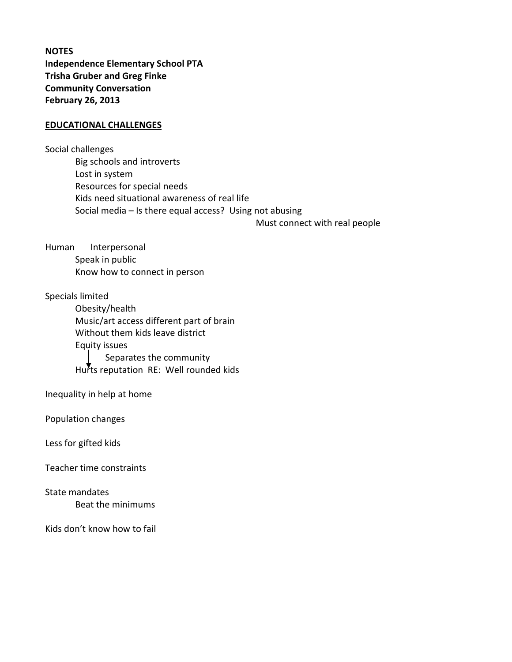**NOTES Independence Elementary School PTA Trisha Gruber and Greg Finke Community Conversation February 26, 2013**

## **EDUCATIONAL CHALLENGES**

Social challenges Big schools and introverts Lost in system Resources for special needs Kids need situational awareness of real life Social media – Is there equal access? Using not abusing

Must connect with real people

Human Interpersonal Speak in public Know how to connect in person

Specials limited

Obesity/health Music/art access different part of brain Without them kids leave district Equity issues Separates the community Hurts reputation RE: Well rounded kids

Inequality in help at home

Population changes

Less for gifted kids

Teacher time constraints

State mandates Beat the minimums

Kids don't know how to fail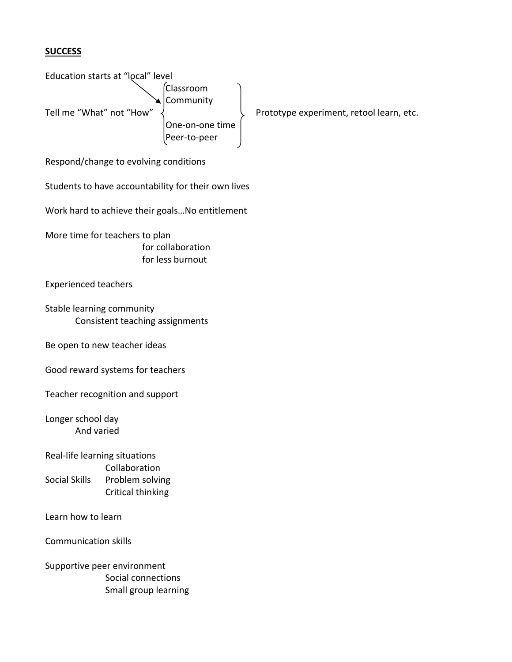## **SUCCESS**

Education starts at "local" level Classroom **Community** Tell me "What" not "How"  $\left\{\right.\qquad\right\}$  Prototype experiment, retool learn, etc. One‐on‐one time Peer‐to‐peer

Respond/change to evolving conditions

Students to have accountability for their own lives

Work hard to achieve their goals…No entitlement

More time for teachers to plan for collaboration for less burnout

Experienced teachers

Stable learning community Consistent teaching assignments

Be open to new teacher ideas

Good reward systems for teachers

Teacher recognition and support

Longer school day And varied

Real‐life learning situations Collaboration Social Skills Problem solving Critical thinking

Learn how to learn

Communication skills

Supportive peer environment Social connections Small group learning